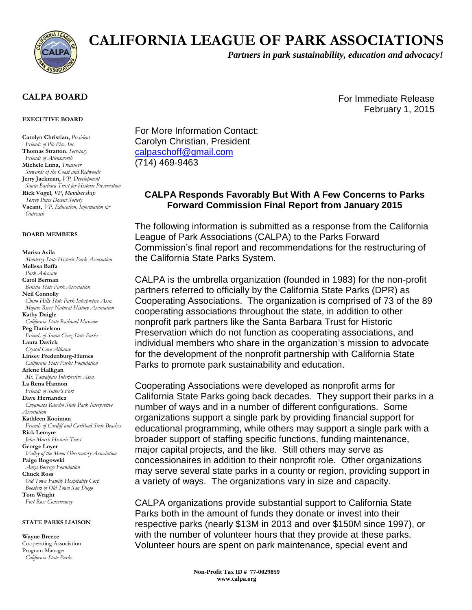

# **CALIFORNIA LEAGUE OF PARK ASSOCIATIONS**

*Partners in park sustainability, education and advocacy!*

For Immediate Release

February 1, 2015

### **CALPA BOARD**

#### **EXECUTIVE BOARD**

**Carolyn Christian,** *President Friends of Pio Pico, Inc.* **Thomas Stratton**, *Secretary Friends of Allensworth* **Michele Luna,** *Treasurer Stewards of the Coast and Redwoods* **Jerry Jackman,** *VP, Development Santa Barbara Trust for Historic Preservation* **Rick Vogel**, *VP, Membership Torrey Pines Docent Society* **Vacant,** *VP, Education, Information & Outreach*

#### **BOARD MEMBERS**

**Marisa Avila**  *Monterey State Historic Park Association* **Melissa Baffa**  *Park Advocate* **Carol Berman**  *Benicia State Park Association* **Neil Connolly**  *Chino Hills State Park Interpretive Assn. Mojave River Natural History Association* **Kathy Daigle**  *California State Railroad Museum* **Peg Danielson**  *Friends of Santa Cruz State Parks* **Laura Davick**  *Crystal Cove Alliance* **Linsey Fredenburg-Humes**  *California State Parks Foundation* **Arlene Halligan**  *Mt. Tamalpais Interpretive Assn.* **La Rena Hannon**  *Friends of Sutter's Fort* **Dave Hernandez**  *Cuyamaca Rancho State Park Interpretive Association* **Kathleen Kooiman**  *Friends of Cardiff and Carlsbad State Beaches* **Rick Lemyre**  *John Marsh Historic Trust* **George Loyer**  *Valley of the Moon Observatory Association* **Paige Rogowski**  *Anza Borrego Foundation* **Chuck Ross**  *Old Town Family Hospitality Corp Boosters of Old Town San Diego* **Tom Wright**  *Fort Ross Conservancy*

#### **STATE PARKS LIAISON**

#### **Wayne Breece**

Cooperating Association Program Manager  *California State Parks*

For More Information Contact: Carolyn Christian, President [calpaschoff@gmail.com](mailto:calpaschoff@gmail.com) (714) 469-9463

## **CALPA Responds Favorably But With A Few Concerns to Parks Forward Commission Final Report from January 2015**

The following information is submitted as a response from the California League of Park Associations (CALPA) to the Parks Forward Commission's final report and recommendations for the restructuring of the California State Parks System.

CALPA is the umbrella organization (founded in 1983) for the non-profit partners referred to officially by the California State Parks (DPR) as Cooperating Associations. The organization is comprised of 73 of the 89 cooperating associations throughout the state, in addition to other nonprofit park partners like the Santa Barbara Trust for Historic Preservation which do not function as cooperating associations, and individual members who share in the organization's mission to advocate for the development of the nonprofit partnership with California State Parks to promote park sustainability and education.

Cooperating Associations were developed as nonprofit arms for California State Parks going back decades. They support their parks in a number of ways and in a number of different configurations. Some organizations support a single park by providing financial support for educational programming, while others may support a single park with a broader support of staffing specific functions, funding maintenance, major capital projects, and the like. Still others may serve as concessionaires in addition to their nonprofit role. Other organizations may serve several state parks in a county or region, providing support in a variety of ways. The organizations vary in size and capacity.

CALPA organizations provide substantial support to California State Parks both in the amount of funds they donate or invest into their respective parks (nearly \$13M in 2013 and over \$150M since 1997), or with the number of volunteer hours that they provide at these parks. Volunteer hours are spent on park maintenance, special event and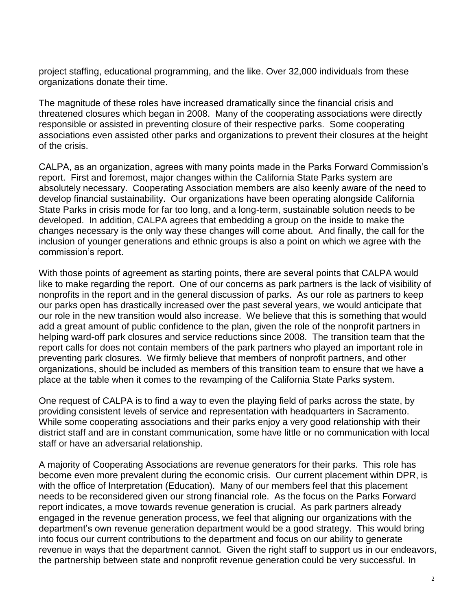project staffing, educational programming, and the like. Over 32,000 individuals from these organizations donate their time.

The magnitude of these roles have increased dramatically since the financial crisis and threatened closures which began in 2008. Many of the cooperating associations were directly responsible or assisted in preventing closure of their respective parks. Some cooperating associations even assisted other parks and organizations to prevent their closures at the height of the crisis.

CALPA, as an organization, agrees with many points made in the Parks Forward Commission's report. First and foremost, major changes within the California State Parks system are absolutely necessary. Cooperating Association members are also keenly aware of the need to develop financial sustainability. Our organizations have been operating alongside California State Parks in crisis mode for far too long, and a long-term, sustainable solution needs to be developed. In addition, CALPA agrees that embedding a group on the inside to make the changes necessary is the only way these changes will come about. And finally, the call for the inclusion of younger generations and ethnic groups is also a point on which we agree with the commission's report.

With those points of agreement as starting points, there are several points that CALPA would like to make regarding the report. One of our concerns as park partners is the lack of visibility of nonprofits in the report and in the general discussion of parks. As our role as partners to keep our parks open has drastically increased over the past several years, we would anticipate that our role in the new transition would also increase. We believe that this is something that would add a great amount of public confidence to the plan, given the role of the nonprofit partners in helping ward-off park closures and service reductions since 2008. The transition team that the report calls for does not contain members of the park partners who played an important role in preventing park closures. We firmly believe that members of nonprofit partners, and other organizations, should be included as members of this transition team to ensure that we have a place at the table when it comes to the revamping of the California State Parks system.

One request of CALPA is to find a way to even the playing field of parks across the state, by providing consistent levels of service and representation with headquarters in Sacramento. While some cooperating associations and their parks enjoy a very good relationship with their district staff and are in constant communication, some have little or no communication with local staff or have an adversarial relationship.

A majority of Cooperating Associations are revenue generators for their parks. This role has become even more prevalent during the economic crisis. Our current placement within DPR, is with the office of Interpretation (Education). Many of our members feel that this placement needs to be reconsidered given our strong financial role. As the focus on the Parks Forward report indicates, a move towards revenue generation is crucial. As park partners already engaged in the revenue generation process, we feel that aligning our organizations with the department's own revenue generation department would be a good strategy. This would bring into focus our current contributions to the department and focus on our ability to generate revenue in ways that the department cannot. Given the right staff to support us in our endeavors, the partnership between state and nonprofit revenue generation could be very successful. In